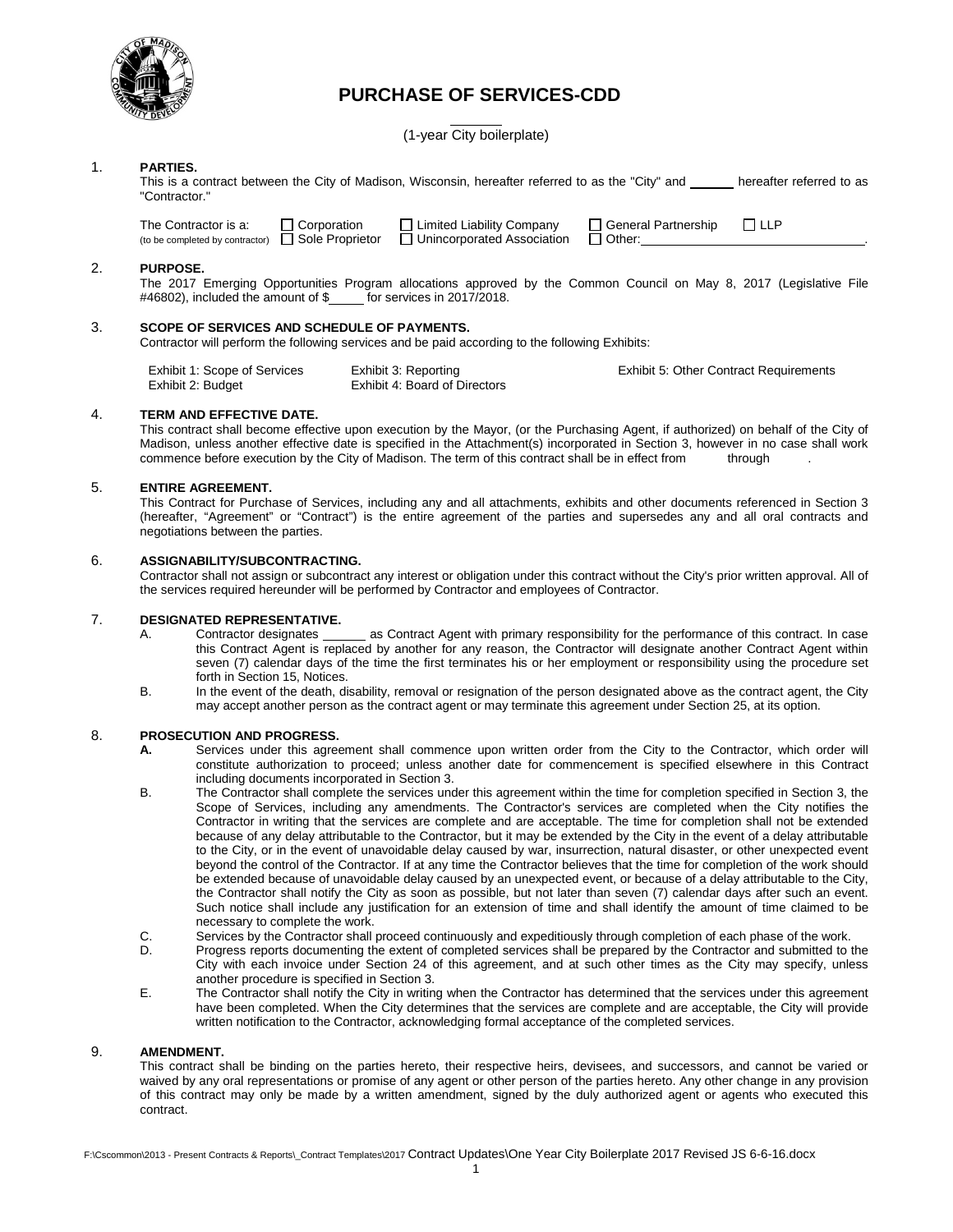

## **PURCHASE OF SERVICES-CDD**

(1-year City boilerplate)

## 1. **PARTIES.**

This is a contract between the City of Madison, Wisconsin, hereafter referred to as the "City" and \_\_\_\_\_ hereafter referred to as "Contractor."

The Contractor is a:  $\Box$  Corporation  $\Box$  Limited Liability Company  $\Box$  General Partnership  $\Box$  LLP (to be completed by contractor)  $\Box$  Sole Proprietor  $\Box$  Unincorporated Association  $\Box$  Other: (to be completed by contractor)  $\Box$  Sole Proprietor

Exhibit 5: Other Contract Requirements

## 2. **PURPOSE.**

The 2017 Emerging Opportunities Program allocations approved by the Common Council on May 8, 2017 (Legislative File #46802), included the amount of \$\_\_\_\_\_ for services in 2017/2018.

## 3. **SCOPE OF SERVICES AND SCHEDULE OF PAYMENTS.**

Contractor will perform the following services and be paid according to the following Exhibits:

| Exhibit 1: Scope of Services | Exhibit 3: Reporting          |
|------------------------------|-------------------------------|
| Exhibit 2: Budget            | Exhibit 4: Board of Directors |

## 4. **TERM AND EFFECTIVE DATE.**

This contract shall become effective upon execution by the Mayor, (or the Purchasing Agent, if authorized) on behalf of the City of Madison, unless another effective date is specified in the Attachment(s) incorporated in Section 3, however in no case shall work commence before execution by the City of Madison. The term of this contract shall be in effect from through

## 5. **ENTIRE AGREEMENT.**

This Contract for Purchase of Services, including any and all attachments, exhibits and other documents referenced in Section 3 (hereafter, "Agreement" or "Contract") is the entire agreement of the parties and supersedes any and all oral contracts and negotiations between the parties.

#### 6. **ASSIGNABILITY/SUBCONTRACTING.**

Contractor shall not assign or subcontract any interest or obligation under this contract without the City's prior written approval. All of the services required hereunder will be performed by Contractor and employees of Contractor.

# 7. **DESIGNATED REPRESENTATIVE.**

- A. Contractor designates \_\_\_\_\_\_\_ as Contract Agent with primary responsibility for the performance of this contract. In case this Contract Agent is replaced by another for any reason, the Contractor will designate another Contract Agent within seven (7) calendar days of the time the first terminates his or her employment or responsibility using the procedure set forth in Section 15, Notices.
- B. In the event of the death, disability, removal or resignation of the person designated above as the contract agent, the City may accept another person as the contract agent or may terminate this agreement under Section 25, at its option.

# 8. **PROSECUTION AND PROGRESS.**<br>**A.** Services under this agree

- **A.** Services under this agreement shall commence upon written order from the City to the Contractor, which order will constitute authorization to proceed; unless another date for commencement is specified elsewhere in this Contract including documents incorporated in Section 3.
- B. The Contractor shall complete the services under this agreement within the time for completion specified in Section 3, the Scope of Services, including any amendments. The Contractor's services are completed when the City notifies the Contractor in writing that the services are complete and are acceptable. The time for completion shall not be extended because of any delay attributable to the Contractor, but it may be extended by the City in the event of a delay attributable to the City, or in the event of unavoidable delay caused by war, insurrection, natural disaster, or other unexpected event beyond the control of the Contractor. If at any time the Contractor believes that the time for completion of the work should be extended because of unavoidable delay caused by an unexpected event, or because of a delay attributable to the City, the Contractor shall notify the City as soon as possible, but not later than seven (7) calendar days after such an event. Such notice shall include any justification for an extension of time and shall identify the amount of time claimed to be necessary to complete the work.
- C. Services by the Contractor shall proceed continuously and expeditiously through completion of each phase of the work.
- D. Progress reports documenting the extent of completed services shall be prepared by the Contractor and submitted to the City with each invoice under Section 24 of this agreement, and at such other times as the City may specify, unless another procedure is specified in Section 3.
- E. The Contractor shall notify the City in writing when the Contractor has determined that the services under this agreement have been completed. When the City determines that the services are complete and are acceptable, the City will provide written notification to the Contractor, acknowledging formal acceptance of the completed services.

#### 9. **AMENDMENT.**

This contract shall be binding on the parties hereto, their respective heirs, devisees, and successors, and cannot be varied or waived by any oral representations or promise of any agent or other person of the parties hereto. Any other change in any provision of this contract may only be made by a written amendment, signed by the duly authorized agent or agents who executed this contract.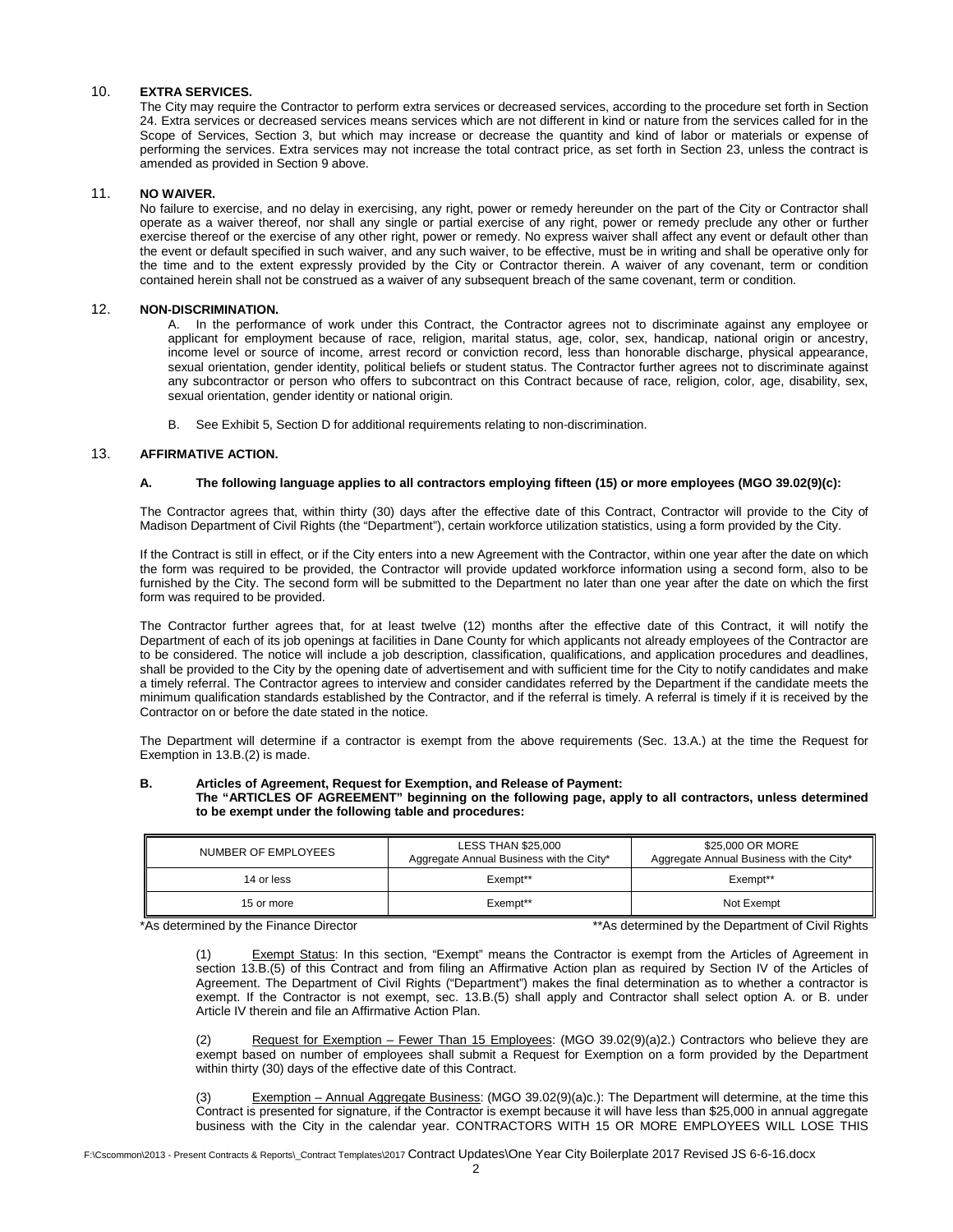## 10. **EXTRA SERVICES.**

The City may require the Contractor to perform extra services or decreased services, according to the procedure set forth in Section 24. Extra services or decreased services means services which are not different in kind or nature from the services called for in the Scope of Services, Section 3, but which may increase or decrease the quantity and kind of labor or materials or expense of performing the services. Extra services may not increase the total contract price, as set forth in Section 23, unless the contract is amended as provided in Section 9 above.

## 11. **NO WAIVER.**

No failure to exercise, and no delay in exercising, any right, power or remedy hereunder on the part of the City or Contractor shall operate as a waiver thereof, nor shall any single or partial exercise of any right, power or remedy preclude any other or further exercise thereof or the exercise of any other right, power or remedy. No express waiver shall affect any event or default other than the event or default specified in such waiver, and any such waiver, to be effective, must be in writing and shall be operative only for the time and to the extent expressly provided by the City or Contractor therein. A waiver of any covenant, term or condition contained herein shall not be construed as a waiver of any subsequent breach of the same covenant, term or condition.

## 12. **NON-DISCRIMINATION.**

A. In the performance of work under this Contract, the Contractor agrees not to discriminate against any employee or applicant for employment because of race, religion, marital status, age, color, sex, handicap, national origin or ancestry, income level or source of income, arrest record or conviction record, less than honorable discharge, physical appearance, sexual orientation, gender identity, political beliefs or student status. The Contractor further agrees not to discriminate against any subcontractor or person who offers to subcontract on this Contract because of race, religion, color, age, disability, sex, sexual orientation, gender identity or national origin.

B. See Exhibit 5, Section D for additional requirements relating to non-discrimination.

## 13. **AFFIRMATIVE ACTION.**

## **A. The following language applies to all contractors employing fifteen (15) or more employees (MGO 39.02(9)(c):**

The Contractor agrees that, within thirty (30) days after the effective date of this Contract, Contractor will provide to the City of Madison Department of Civil Rights (the "Department"), certain workforce utilization statistics, using a form provided by the City.

If the Contract is still in effect, or if the City enters into a new Agreement with the Contractor, within one year after the date on which the form was required to be provided, the Contractor will provide updated workforce information using a second form, also to be furnished by the City. The second form will be submitted to the Department no later than one year after the date on which the first form was required to be provided.

The Contractor further agrees that, for at least twelve (12) months after the effective date of this Contract, it will notify the Department of each of its job openings at facilities in Dane County for which applicants not already employees of the Contractor are to be considered. The notice will include a job description, classification, qualifications, and application procedures and deadlines, shall be provided to the City by the opening date of advertisement and with sufficient time for the City to notify candidates and make a timely referral. The Contractor agrees to interview and consider candidates referred by the Department if the candidate meets the minimum qualification standards established by the Contractor, and if the referral is timely. A referral is timely if it is received by the Contractor on or before the date stated in the notice.

The Department will determine if a contractor is exempt from the above requirements (Sec. 13.A.) at the time the Request for Exemption in 13.B.(2) is made.

#### **B. Articles of Agreement, Request for Exemption, and Release of Payment:**

#### **The "ARTICLES OF AGREEMENT" beginning on the following page, apply to all contractors, unless determined to be exempt under the following table and procedures:**

| NUMBER OF EMPLOYEES | <b>LESS THAN \$25,000</b><br>Aggregate Annual Business with the City* | \$25,000 OR MORE<br>Aggregate Annual Business with the City* |
|---------------------|-----------------------------------------------------------------------|--------------------------------------------------------------|
| 14 or less          | Exempt**                                                              | Exempt**                                                     |
| 15 or more          | Exempt**                                                              | Not Exempt                                                   |

\*As determined by the Finance Director \*\*As determined by the Department of Civil Rights

(1) Exempt Status: In this section, "Exempt" means the Contractor is exempt from the Articles of Agreement in section 13.B.(5) of this Contract and from filing an Affirmative Action plan as required by Section IV of the Articles of Agreement. The Department of Civil Rights ("Department") makes the final determination as to whether a contractor is exempt. If the Contractor is not exempt, sec. 13.B.(5) shall apply and Contractor shall select option A. or B. under Article IV therein and file an Affirmative Action Plan.

(2) Request for Exemption – Fewer Than 15 Employees: (MGO 39.02(9)(a)2.) Contractors who believe they are exempt based on number of employees shall submit a Request for Exemption on a form provided by the Department within thirty (30) days of the effective date of this Contract.

(3) Exemption – Annual Aggregate Business: (MGO 39.02(9)(a)c.): The Department will determine, at the time this Contract is presented for signature, if the Contractor is exempt because it will have less than \$25,000 in annual aggregate business with the City in the calendar year. CONTRACTORS WITH 15 OR MORE EMPLOYEES WILL LOSE THIS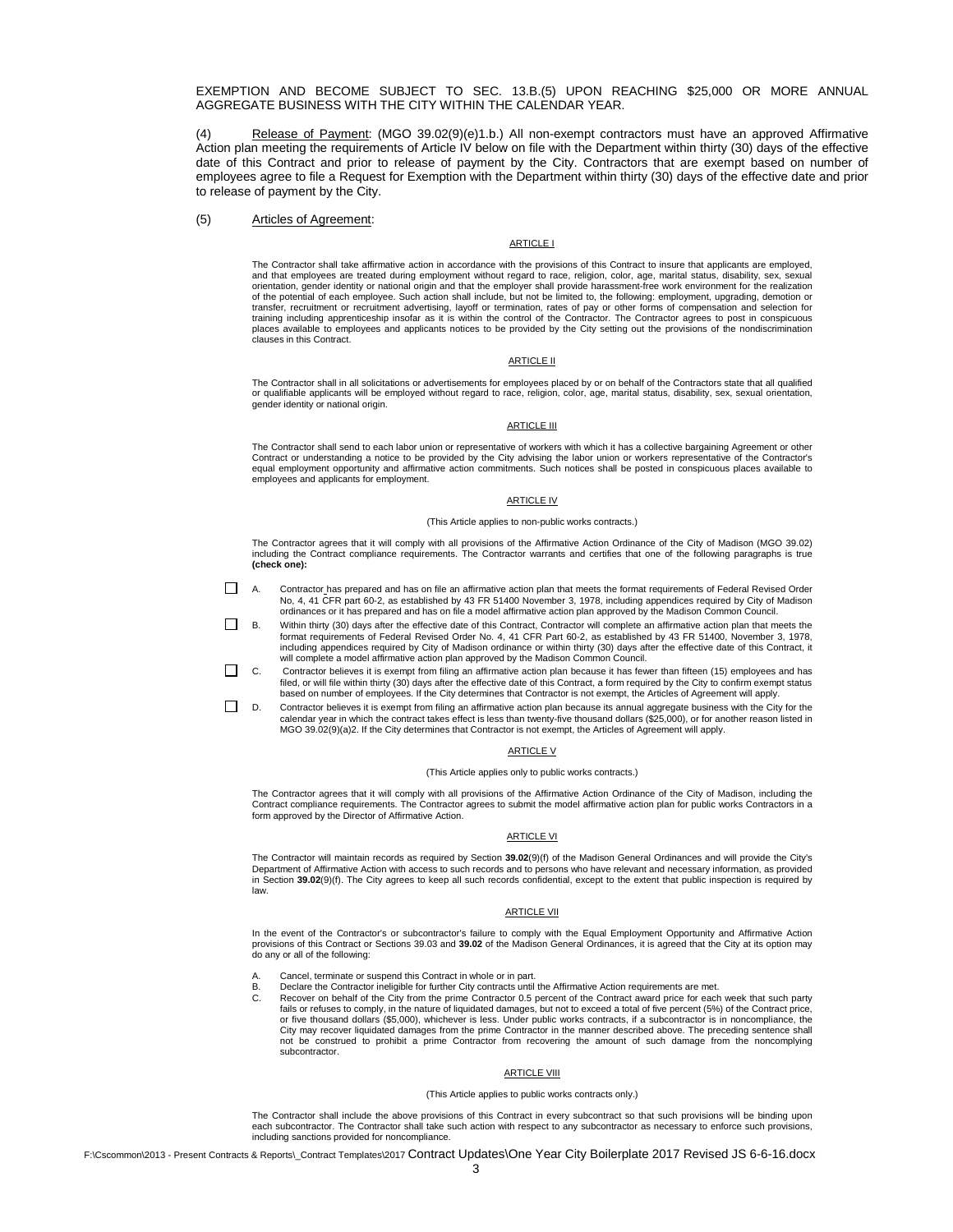EXEMPTION AND BECOME SUBJECT TO SEC. 13.B.(5) UPON REACHING \$25,000 OR MORE ANNUAL AGGREGATE BUSINESS WITH THE CITY WITHIN THE CALENDAR YEAR.

Release of Payment: (MGO 39.02(9)(e)1.b.) All non-exempt contractors must have an approved Affirmative Action plan meeting the requirements of Article IV below on file with the Department within thirty (30) days of the effective date of this Contract and prior to release of payment by the City. Contractors that are exempt based on number of employees agree to file a Request for Exemption with the Department within thirty (30) days of the effective date and prior to release of payment by the City.

#### (5) Articles of Agreement:

#### ARTICLE I

The Contractor shall take affirmative action in accordance with the provisions of this Contract to insure that applicants are employed, and that employees are treated during employment without regard to race, religion, color, age, marital status, disability, sex, sexual orientation, gender identity or national origin and that the employer shall provide harassment-free work environment for the realization<br>of the potential of each employee. Such action shall include, but not be limited to, transfer, recruitment or recruitment advertising, layoff or termination, rates of pay or other forms of compensation and selection for training including apprenticeship insofar as it is within the control of the Contractor. The Contractor agrees to post in conspicuous<br>places available to employees and applicants notices to be provided by the City setting clauses in this Contract.

#### **ARTICLE II**

The Contractor shall in all solicitations or advertisements for employees placed by or on behalf of the Contractors state that all qualified or qualifiable applicants will be employed without regard to race, religion, color, age, marital status, disability, sex, sexual orientation, gender identity or national origin.

#### **ARTICLE III**

The Contractor shall send to each labor union or representative of workers with which it has a collective bargaining Agreement or other Contract or understanding a notice to be provided by the City advising the labor union or workers representative of the Contractor's<br>equal employment opportunity and affirmative action commitments. Such notices shall be po employees and applicants for employment.

#### ARTICLE IV

#### (This Article applies to non-public works contracts.)

The Contractor agrees that it will comply with all provisions of the Affirmative Action Ordinance of the City of Madison (MGO 39.02)<br>including the Contract compliance requirements. The Contractor warrants and certifies tha **(check one):**

- A. Contractor has prepared and has on file an affirmative action plan that meets the format requirements of Federal Revised Order No, 4, 41 CFR part 60-2, as established by 43 FR 51400 November 3, 1978, including appendices required by City of Madison ordinances or it has prepared and has on file a model affirmative action plan approved by the Madison Common Council.
- B. Within thirty (30) days after the effective date of this Contract, Contractor will complete an affirmative action plan that meets the format requirements of Federal Revised Order No. 4, 41 CFR Part 60-2, as established by 43 FR 51400, November 3, 1978, including appendices required by City of Madison ordinance or within thirty (30) days after the effective date of this Contract, it<br>will complete a model affirmative action plan approved by the Madison Common Council.
- C. Contractor believes it is exempt from filing an affirmative action plan because it has fewer than fifteen (15) employees and has<br>filed, or will file within thirty (30) days after the effective date of this Contract, a f based on number of employees. If the City determines that Contractor is not exempt, the Articles of Agreement will apply.
- D. Contractor believes it is exempt from filing an affirmative action plan because its annual aggregate business with the City for the calendar year in which the contract takes effect is less than twenty-five thousand dollars (\$25,000), or for another reason listed in MGO 39.02(9)(a)2. If the City determines that Contractor is not exempt, the Articles of Agreement will apply.

#### ARTICLE V

#### (This Article applies only to public works contracts.)

The Contractor agrees that it will comply with all provisions of the Affirmative Action Ordinance of the City of Madison, including the Contract compliance requirements. The Contractor agrees to submit the model affirmative action plan for public works Contractors in a form approved by the Director of Affirmative Action.

#### ARTICLE VI

The Contractor will maintain records as required by Section **39.02**(9)(f) of the Madison General Ordinances and will provide the City's Department of Affirmative Action with access to such records and to persons who have relevant and necessary information, as provided<br>in Section **39.02**(9)(f). The City agrees to keep all such records confidential, except t law.

#### ARTICLE VII

In the event of the Contractor's or subcontractor's failure to comply with the Equal Employment Opportunity and Affirmative Action<br>provisions of this Contract or Sections 39.03 and **39.02** of the Madison General Ordinances do any or all of the following:

Cancel, terminate or suspend this Contract in whole or in part.

- B. Declare the Contractor ineligible for further City contracts until the Affirmative Action requirements are met.<br>C. Recover on behalf of the City from the prime Contractor 0.5 percent of the Contract award price for each
	- fails or refuses to comply, in the nature of liquidated damages, but not to exceed a total of five percent (5%) of the Contract price, or five thousand dollars (\$5,000), whichever is less. Under public works contracts, if a subcontractor is in noncompliance, the City may recover liquidated damages from the prime Contractor in the manner described above. The preceding sentence shall not be construed to prohibit a prime Contractor from recovering the amount of such damage from the noncomplying subcontractor.

#### ARTICLE VIII

#### (This Article applies to public works contracts only.)

The Contractor shall include the above provisions of this Contract in every subcontract so that such provisions will be binding upon each subcontractor. The Contractor shall take such action with respect to any subcontractor as necessary to enforce such provisions, including sanctions provided for noncompliance.

F:\Cscommon\2013 - Present Contracts & Reports\ Contract Templates\2017 Contract Updates\One Year City Boilerplate 2017 Revised JS 6-6-16.docx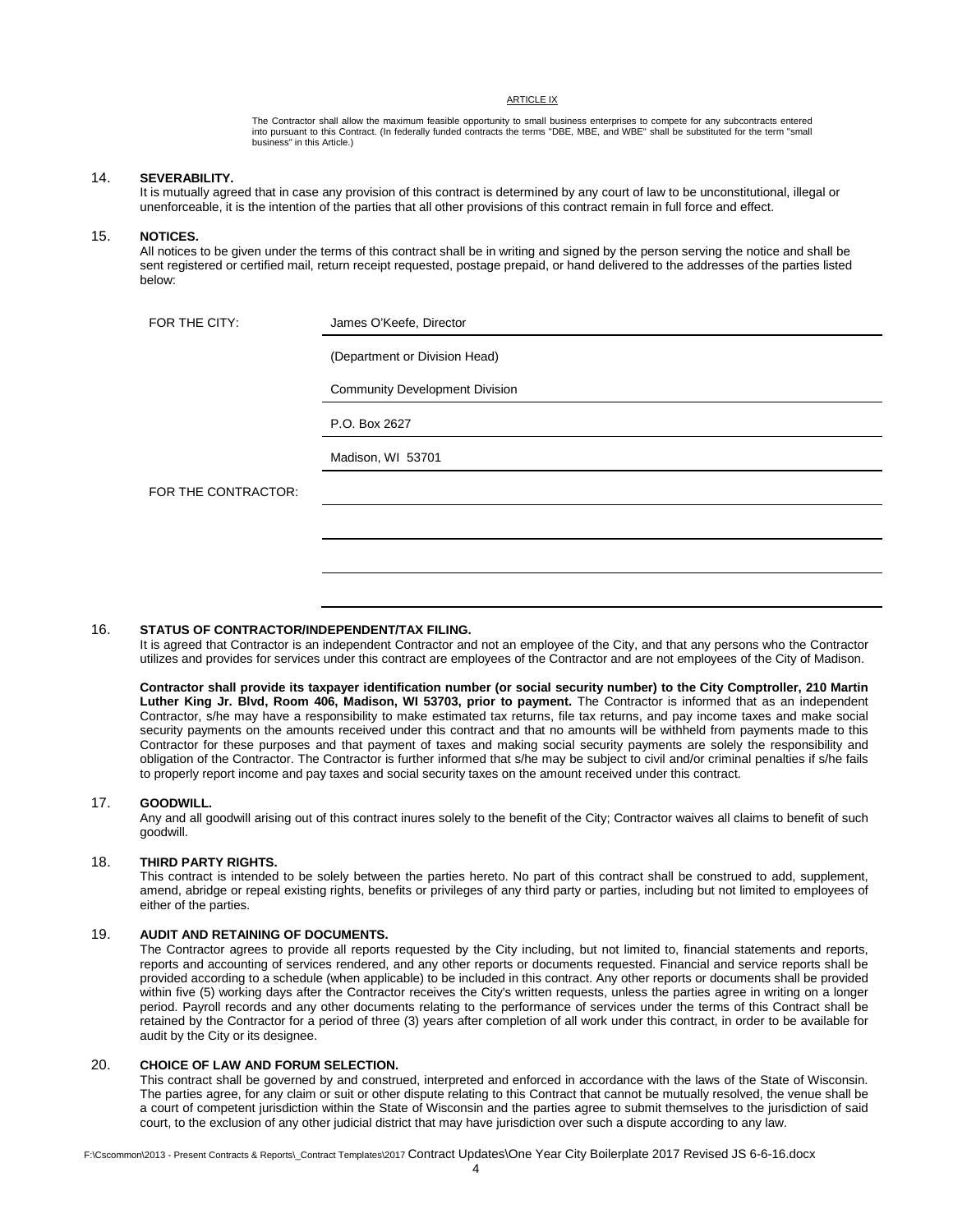ARTICLE IX

The Contractor shall allow the maximum feasible opportunity to small business enterprises to compete for any subcontracts entered<br>into pursuant to this Contract. (In federally funded contracts the terms "DBE, MBE, and WBE" business" in this Article.)

#### 14. **SEVERABILITY.**

It is mutually agreed that in case any provision of this contract is determined by any court of law to be unconstitutional, illegal or unenforceable, it is the intention of the parties that all other provisions of this contract remain in full force and effect.

#### 15. **NOTICES.**

All notices to be given under the terms of this contract shall be in writing and signed by the person serving the notice and shall be sent registered or certified mail, return receipt requested, postage prepaid, or hand delivered to the addresses of the parties listed below:

| FOR THE CITY:       | James O'Keefe, Director               |
|---------------------|---------------------------------------|
|                     | (Department or Division Head)         |
|                     | <b>Community Development Division</b> |
|                     | P.O. Box 2627                         |
|                     | Madison, WI 53701                     |
| FOR THE CONTRACTOR: |                                       |
|                     |                                       |
|                     |                                       |
|                     |                                       |

#### 16. **STATUS OF CONTRACTOR/INDEPENDENT/TAX FILING.**

It is agreed that Contractor is an independent Contractor and not an employee of the City, and that any persons who the Contractor utilizes and provides for services under this contract are employees of the Contractor and are not employees of the City of Madison.

**Contractor shall provide its taxpayer identification number (or social security number) to the City Comptroller, 210 Martin Luther King Jr. Blvd, Room 406, Madison, WI 53703, prior to payment.** The Contractor is informed that as an independent Contractor, s/he may have a responsibility to make estimated tax returns, file tax returns, and pay income taxes and make social security payments on the amounts received under this contract and that no amounts will be withheld from payments made to this Contractor for these purposes and that payment of taxes and making social security payments are solely the responsibility and obligation of the Contractor. The Contractor is further informed that s/he may be subject to civil and/or criminal penalties if s/he fails to properly report income and pay taxes and social security taxes on the amount received under this contract.

## 17. **GOODWILL.**

Any and all goodwill arising out of this contract inures solely to the benefit of the City; Contractor waives all claims to benefit of such goodwill.

#### 18. **THIRD PARTY RIGHTS.**

This contract is intended to be solely between the parties hereto. No part of this contract shall be construed to add, supplement, amend, abridge or repeal existing rights, benefits or privileges of any third party or parties, including but not limited to employees of either of the parties.

## 19. **AUDIT AND RETAINING OF DOCUMENTS.**

The Contractor agrees to provide all reports requested by the City including, but not limited to, financial statements and reports, reports and accounting of services rendered, and any other reports or documents requested. Financial and service reports shall be provided according to a schedule (when applicable) to be included in this contract. Any other reports or documents shall be provided within five (5) working days after the Contractor receives the City's written requests, unless the parties agree in writing on a longer period. Payroll records and any other documents relating to the performance of services under the terms of this Contract shall be retained by the Contractor for a period of three (3) years after completion of all work under this contract, in order to be available for audit by the City or its designee.

#### 20. **CHOICE OF LAW AND FORUM SELECTION.**

This contract shall be governed by and construed, interpreted and enforced in accordance with the laws of the State of Wisconsin. The parties agree, for any claim or suit or other dispute relating to this Contract that cannot be mutually resolved, the venue shall be a court of competent jurisdiction within the State of Wisconsin and the parties agree to submit themselves to the jurisdiction of said court, to the exclusion of any other judicial district that may have jurisdiction over such a dispute according to any law.

F:\Cscommon\2013 - Present Contracts & Reports\\_Contract Templates\2017 Contract Updates\One Year City Boilerplate 2017 Revised JS 6-6-16.docx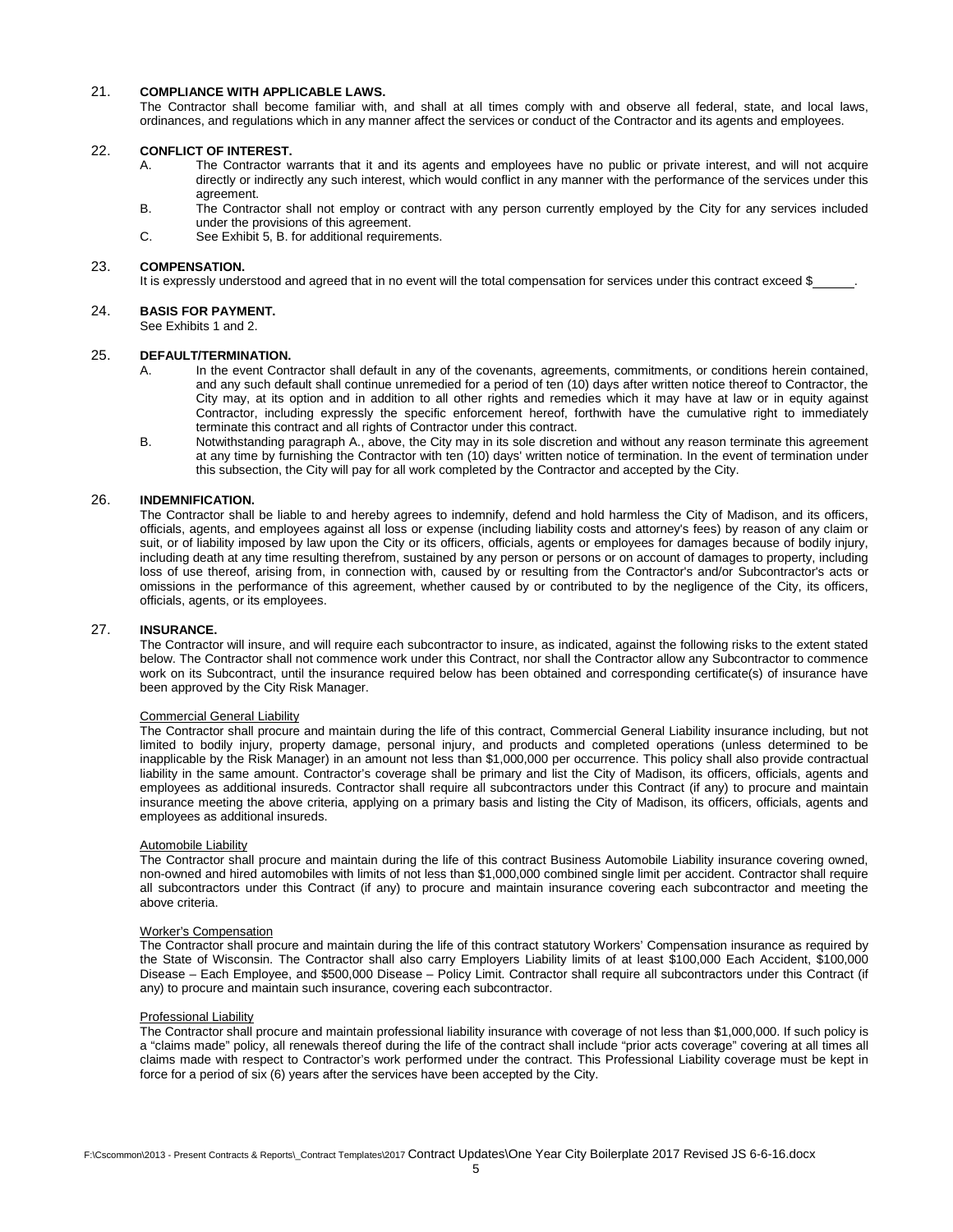## 21. **COMPLIANCE WITH APPLICABLE LAWS.**

The Contractor shall become familiar with, and shall at all times comply with and observe all federal, state, and local laws, ordinances, and regulations which in any manner affect the services or conduct of the Contractor and its agents and employees.

#### 22. **CONFLICT OF INTEREST.**

- A. The Contractor warrants that it and its agents and employees have no public or private interest, and will not acquire directly or indirectly any such interest, which would conflict in any manner with the performance of the services under this agreement.
- B. The Contractor shall not employ or contract with any person currently employed by the City for any services included under the provisions of this agreement.
- C. See Exhibit 5, B. for additional requirements.

#### 23. **COMPENSATION.**

It is expressly understood and agreed that in no event will the total compensation for services under this contract exceed \$

## 24. **BASIS FOR PAYMENT.**

See Exhibits 1 and 2.

#### 25. **DEFAULT/TERMINATION.**

- A. In the event Contractor shall default in any of the covenants, agreements, commitments, or conditions herein contained, and any such default shall continue unremedied for a period of ten (10) days after written notice thereof to Contractor, the City may, at its option and in addition to all other rights and remedies which it may have at law or in equity against Contractor, including expressly the specific enforcement hereof, forthwith have the cumulative right to immediately terminate this contract and all rights of Contractor under this contract.
- B. Notwithstanding paragraph A., above, the City may in its sole discretion and without any reason terminate this agreement at any time by furnishing the Contractor with ten (10) days' written notice of termination. In the event of termination under this subsection, the City will pay for all work completed by the Contractor and accepted by the City.

#### 26. **INDEMNIFICATION.**

The Contractor shall be liable to and hereby agrees to indemnify, defend and hold harmless the City of Madison, and its officers, officials, agents, and employees against all loss or expense (including liability costs and attorney's fees) by reason of any claim or suit, or of liability imposed by law upon the City or its officers, officials, agents or employees for damages because of bodily injury, including death at any time resulting therefrom, sustained by any person or persons or on account of damages to property, including loss of use thereof, arising from, in connection with, caused by or resulting from the Contractor's and/or Subcontractor's acts or omissions in the performance of this agreement, whether caused by or contributed to by the negligence of the City, its officers, officials, agents, or its employees.

#### 27. **INSURANCE.**

The Contractor will insure, and will require each subcontractor to insure, as indicated, against the following risks to the extent stated below. The Contractor shall not commence work under this Contract, nor shall the Contractor allow any Subcontractor to commence work on its Subcontract, until the insurance required below has been obtained and corresponding certificate(s) of insurance have been approved by the City Risk Manager.

#### Commercial General Liability

The Contractor shall procure and maintain during the life of this contract, Commercial General Liability insurance including, but not limited to bodily injury, property damage, personal injury, and products and completed operations (unless determined to be inapplicable by the Risk Manager) in an amount not less than \$1,000,000 per occurrence. This policy shall also provide contractual liability in the same amount. Contractor's coverage shall be primary and list the City of Madison, its officers, officials, agents and employees as additional insureds. Contractor shall require all subcontractors under this Contract (if any) to procure and maintain insurance meeting the above criteria, applying on a primary basis and listing the City of Madison, its officers, officials, agents and employees as additional insureds.

#### Automobile Liability

The Contractor shall procure and maintain during the life of this contract Business Automobile Liability insurance covering owned, non-owned and hired automobiles with limits of not less than \$1,000,000 combined single limit per accident. Contractor shall require all subcontractors under this Contract (if any) to procure and maintain insurance covering each subcontractor and meeting the above criteria.

#### Worker's Compensation

The Contractor shall procure and maintain during the life of this contract statutory Workers' Compensation insurance as required by the State of Wisconsin. The Contractor shall also carry Employers Liability limits of at least \$100,000 Each Accident, \$100,000 Disease – Each Employee, and \$500,000 Disease – Policy Limit. Contractor shall require all subcontractors under this Contract (if any) to procure and maintain such insurance, covering each subcontractor.

#### Professional Liability

The Contractor shall procure and maintain professional liability insurance with coverage of not less than \$1,000,000. If such policy is a "claims made" policy, all renewals thereof during the life of the contract shall include "prior acts coverage" covering at all times all claims made with respect to Contractor's work performed under the contract. This Professional Liability coverage must be kept in force for a period of six (6) years after the services have been accepted by the City.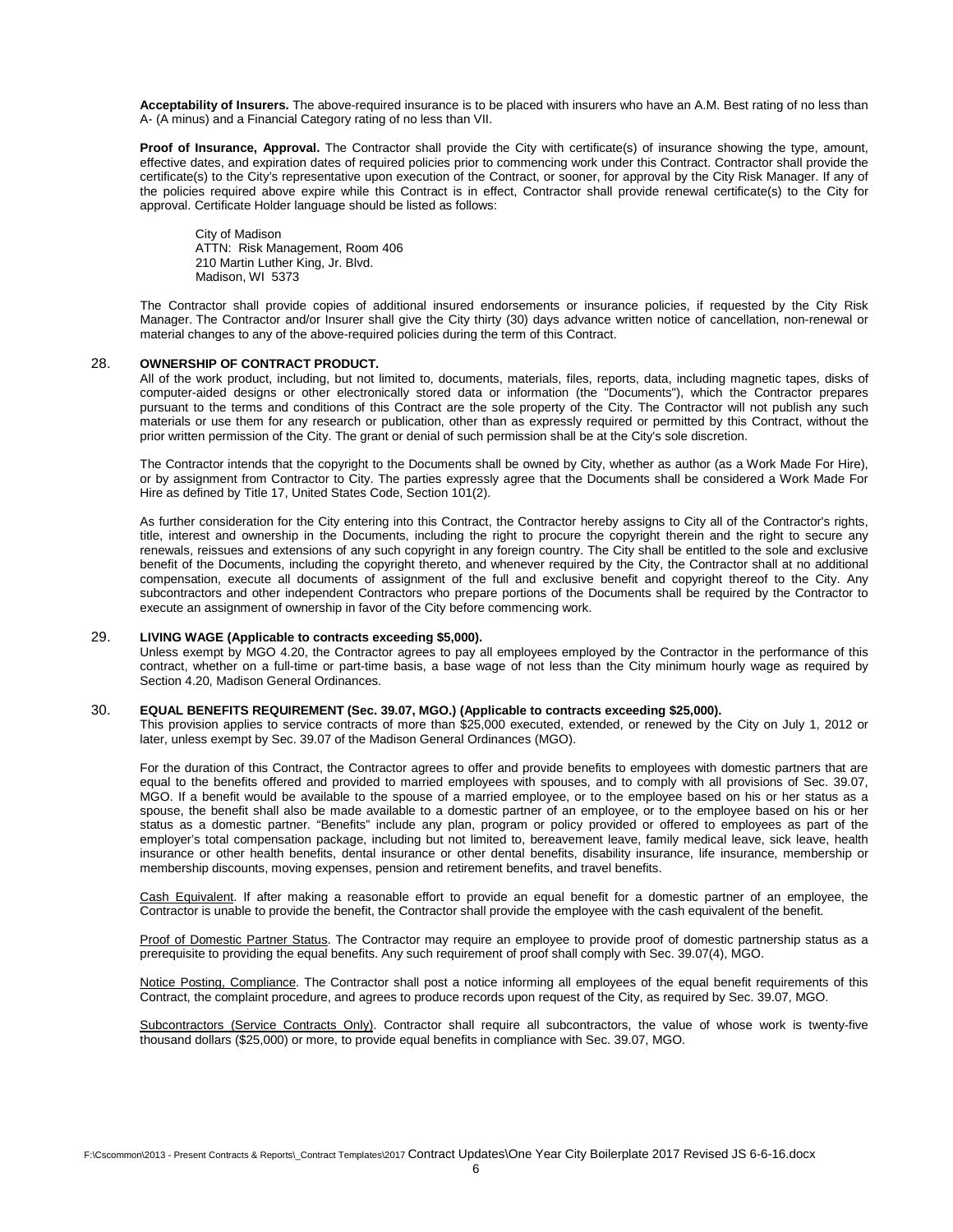**Acceptability of Insurers.** The above-required insurance is to be placed with insurers who have an A.M. Best rating of no less than A- (A minus) and a Financial Category rating of no less than VII.

**Proof of Insurance, Approval.** The Contractor shall provide the City with certificate(s) of insurance showing the type, amount, effective dates, and expiration dates of required policies prior to commencing work under this Contract. Contractor shall provide the certificate(s) to the City's representative upon execution of the Contract, or sooner, for approval by the City Risk Manager. If any of the policies required above expire while this Contract is in effect, Contractor shall provide renewal certificate(s) to the City for approval. Certificate Holder language should be listed as follows:

 City of Madison ATTN: Risk Management, Room 406 210 Martin Luther King, Jr. Blvd. Madison, WI 5373

The Contractor shall provide copies of additional insured endorsements or insurance policies, if requested by the City Risk Manager. The Contractor and/or Insurer shall give the City thirty (30) days advance written notice of cancellation, non-renewal or material changes to any of the above-required policies during the term of this Contract.

#### 28. **OWNERSHIP OF CONTRACT PRODUCT.**

All of the work product, including, but not limited to, documents, materials, files, reports, data, including magnetic tapes, disks of computer-aided designs or other electronically stored data or information (the "Documents"), which the Contractor prepares pursuant to the terms and conditions of this Contract are the sole property of the City. The Contractor will not publish any such materials or use them for any research or publication, other than as expressly required or permitted by this Contract, without the prior written permission of the City. The grant or denial of such permission shall be at the City's sole discretion.

The Contractor intends that the copyright to the Documents shall be owned by City, whether as author (as a Work Made For Hire), or by assignment from Contractor to City. The parties expressly agree that the Documents shall be considered a Work Made For Hire as defined by Title 17, United States Code, Section 101(2).

As further consideration for the City entering into this Contract, the Contractor hereby assigns to City all of the Contractor's rights, title, interest and ownership in the Documents, including the right to procure the copyright therein and the right to secure any renewals, reissues and extensions of any such copyright in any foreign country. The City shall be entitled to the sole and exclusive benefit of the Documents, including the copyright thereto, and whenever required by the City, the Contractor shall at no additional compensation, execute all documents of assignment of the full and exclusive benefit and copyright thereof to the City. Any subcontractors and other independent Contractors who prepare portions of the Documents shall be required by the Contractor to execute an assignment of ownership in favor of the City before commencing work.

#### 29. **LIVING WAGE (Applicable to contracts exceeding \$5,000).**

Unless exempt by MGO 4.20, the Contractor agrees to pay all employees employed by the Contractor in the performance of this contract, whether on a full-time or part-time basis, a base wage of not less than the City minimum hourly wage as required by Section 4.20, Madison General Ordinances.

#### 30. **EQUAL BENEFITS REQUIREMENT (Sec. 39.07, MGO.) (Applicable to contracts exceeding \$25,000).**

This provision applies to service contracts of more than \$25,000 executed, extended, or renewed by the City on July 1, 2012 or later, unless exempt by Sec. 39.07 of the Madison General Ordinances (MGO).

For the duration of this Contract, the Contractor agrees to offer and provide benefits to employees with domestic partners that are equal to the benefits offered and provided to married employees with spouses, and to comply with all provisions of Sec. 39.07, MGO. If a benefit would be available to the spouse of a married employee, or to the employee based on his or her status as a spouse, the benefit shall also be made available to a domestic partner of an employee, or to the employee based on his or her status as a domestic partner. "Benefits" include any plan, program or policy provided or offered to employees as part of the employer's total compensation package, including but not limited to, bereavement leave, family medical leave, sick leave, health insurance or other health benefits, dental insurance or other dental benefits, disability insurance, life insurance, membership or membership discounts, moving expenses, pension and retirement benefits, and travel benefits.

Cash Equivalent. If after making a reasonable effort to provide an equal benefit for a domestic partner of an employee, the Contractor is unable to provide the benefit, the Contractor shall provide the employee with the cash equivalent of the benefit.

Proof of Domestic Partner Status. The Contractor may require an employee to provide proof of domestic partnership status as a prerequisite to providing the equal benefits. Any such requirement of proof shall comply with Sec. 39.07(4), MGO.

Notice Posting, Compliance. The Contractor shall post a notice informing all employees of the equal benefit requirements of this Contract, the complaint procedure, and agrees to produce records upon request of the City, as required by Sec. 39.07, MGO.

Subcontractors (Service Contracts Only). Contractor shall require all subcontractors, the value of whose work is twenty-five thousand dollars (\$25,000) or more, to provide equal benefits in compliance with Sec. 39.07, MGO.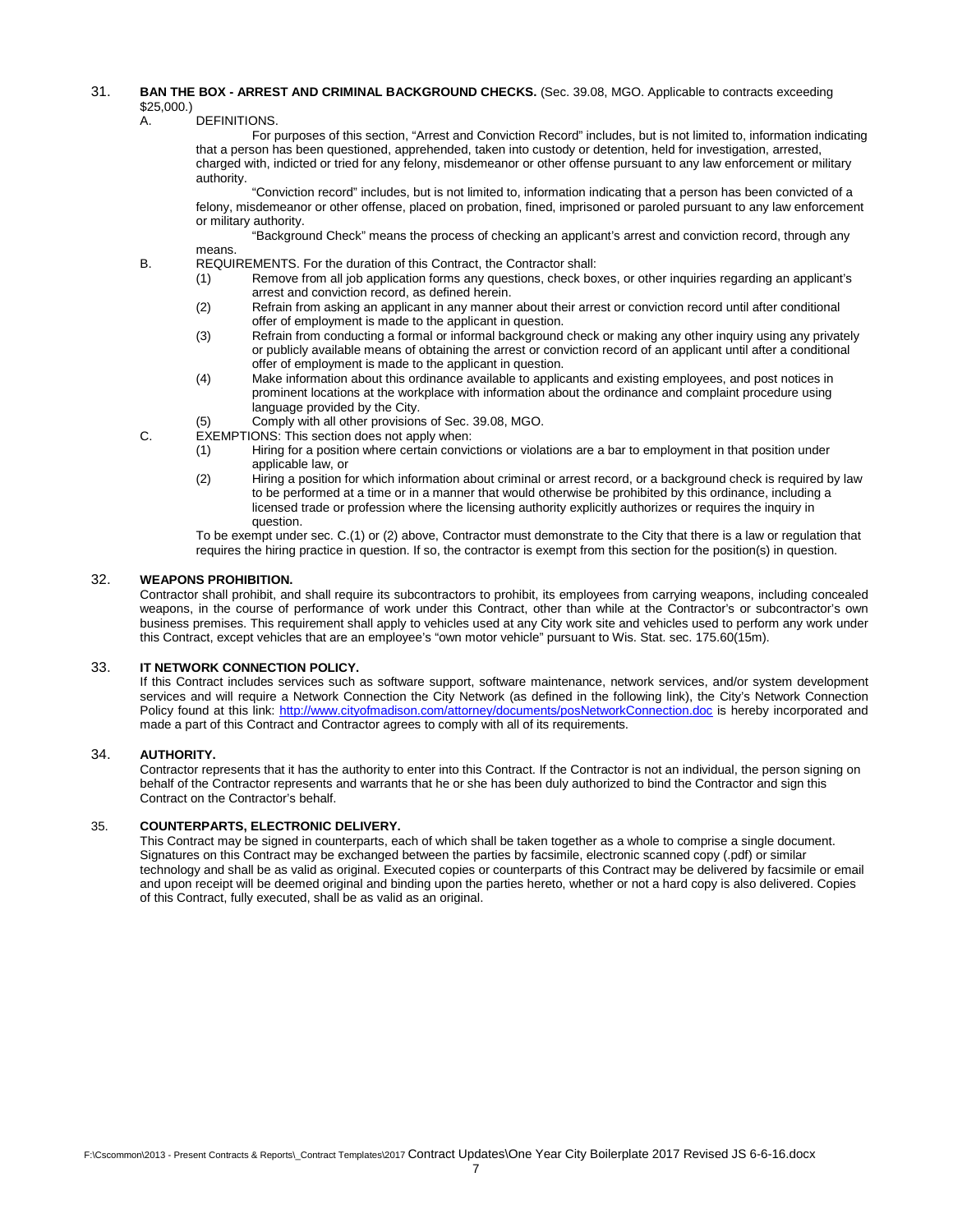## 31. **BAN THE BOX - ARREST AND CRIMINAL BACKGROUND CHECKS.** (Sec. 39.08, MGO. Applicable to contracts exceeding \$25,000.)<br>A.

DEFINITIONS.

For purposes of this section, "Arrest and Conviction Record" includes, but is not limited to, information indicating that a person has been questioned, apprehended, taken into custody or detention, held for investigation, arrested, charged with, indicted or tried for any felony, misdemeanor or other offense pursuant to any law enforcement or military authority.

"Conviction record" includes, but is not limited to, information indicating that a person has been convicted of a felony, misdemeanor or other offense, placed on probation, fined, imprisoned or paroled pursuant to any law enforcement or military authority.

"Background Check" means the process of checking an applicant's arrest and conviction record, through any means.

- B. REQUIREMENTS. For the duration of this Contract, the Contractor shall:
	- (1) Remove from all job application forms any questions, check boxes, or other inquiries regarding an applicant's arrest and conviction record, as defined herein.
	- (2) Refrain from asking an applicant in any manner about their arrest or conviction record until after conditional offer of employment is made to the applicant in question.
	- (3) Refrain from conducting a formal or informal background check or making any other inquiry using any privately or publicly available means of obtaining the arrest or conviction record of an applicant until after a conditional offer of employment is made to the applicant in question.
	- (4) Make information about this ordinance available to applicants and existing employees, and post notices in prominent locations at the workplace with information about the ordinance and complaint procedure using language provided by the City.
	- (5) Comply with all other provisions of Sec. 39.08, MGO.

C. EXEMPTIONS: This section does not apply when:

- (1) Hiring for a position where certain convictions or violations are a bar to employment in that position under applicable law, or
- (2) Hiring a position for which information about criminal or arrest record, or a background check is required by law to be performed at a time or in a manner that would otherwise be prohibited by this ordinance, including a licensed trade or profession where the licensing authority explicitly authorizes or requires the inquiry in question.

To be exempt under sec. C.(1) or (2) above, Contractor must demonstrate to the City that there is a law or regulation that requires the hiring practice in question. If so, the contractor is exempt from this section for the position(s) in question.

## 32. **WEAPONS PROHIBITION.**

Contractor shall prohibit, and shall require its subcontractors to prohibit, its employees from carrying weapons, including concealed weapons, in the course of performance of work under this Contract, other than while at the Contractor's or subcontractor's own business premises. This requirement shall apply to vehicles used at any City work site and vehicles used to perform any work under this Contract, except vehicles that are an employee's "own motor vehicle" pursuant to Wis. Stat. sec. 175.60(15m).

## 33. **IT NETWORK CONNECTION POLICY.**

If this Contract includes services such as software support, software maintenance, network services, and/or system development services and will require a Network Connection the City Network (as defined in the following link), the City's Network Connection Policy found at this link:<http://www.cityofmadison.com/attorney/documents/posNetworkConnection.doc> is hereby incorporated and made a part of this Contract and Contractor agrees to comply with all of its requirements.

## 34. **AUTHORITY.**

Contractor represents that it has the authority to enter into this Contract. If the Contractor is not an individual, the person signing on behalf of the Contractor represents and warrants that he or she has been duly authorized to bind the Contractor and sign this Contract on the Contractor's behalf.

## 35. **COUNTERPARTS, ELECTRONIC DELIVERY.**

This Contract may be signed in counterparts, each of which shall be taken together as a whole to comprise a single document. Signatures on this Contract may be exchanged between the parties by facsimile, electronic scanned copy (.pdf) or similar technology and shall be as valid as original. Executed copies or counterparts of this Contract may be delivered by facsimile or email and upon receipt will be deemed original and binding upon the parties hereto, whether or not a hard copy is also delivered. Copies of this Contract, fully executed, shall be as valid as an original.